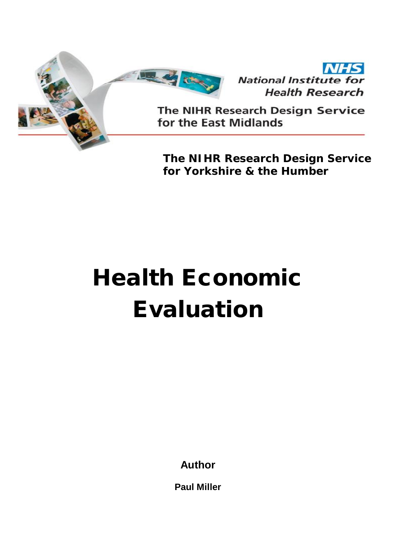



The NIHR Research Design Service for the East Midlands

**The NIHR Research Design Service for Yorkshire & the Humber** 

# **Health Economic Evaluation**

**Author** 

**Paul Miller**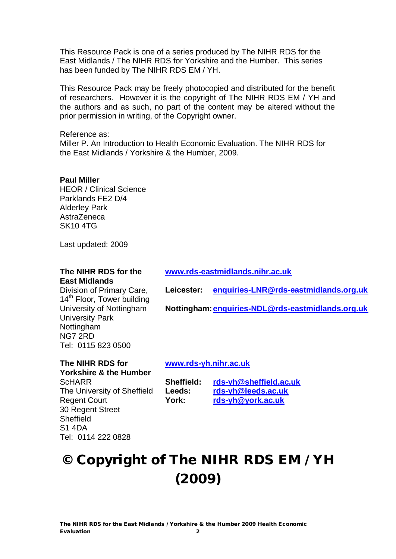This Resource Pack is one of a series produced by The NIHR RDS for the East Midlands / The NIHR RDS for Yorkshire and the Humber. This series has been funded by The NIHR RDS EM / YH.

This Resource Pack may be freely photocopied and distributed for the benefit of researchers. However it is the copyright of The NIHR RDS EM / YH and the authors and as such, no part of the content may be altered without the prior permission in writing, of the Copyright owner.

#### Reference as:

Miller P. An Introduction to Health Economic Evaluation. The NIHR RDS for the East Midlands / Yorkshire & the Humber, 2009.

#### **Paul Miller**

**ScHARR** 

Sheffield S1 4DA

Regent Court 30 Regent Street

Tel: 0114 222 0828

HEOR / Clinical Science Parklands FE2 D/4 Alderley Park AstraZeneca SK10 4TG

Last updated: 2009

#### **The NIHR RDS for the East Midlands**

**[www.rds-eastmidlands.nihr.ac.uk](http://www.rds-eastmidlands.nihr.ac.uk)** 

**Leicester: [enquiries-LNR@rds-eastmidlands.org.uk](mailto:enquiries-LNR@rds-eastmidlands.org.uk)**

Division of Primary Care, 14<sup>th</sup> Floor, Tower building University of Nottingham University Park **Nottingham** NG7 2RD Tel: 0115 823 0500

**Nottingham: [enquiries-NDL@rds-eastmidlands.org.uk](mailto:enquiries-NDL@rds-eastmidlands.org.uk)**

#### **The NIHR RDS for Yorkshire & the Humber**  The University of Sheffield **[www.rds-yh.nihr.ac.uk](http://www.rds-yh.nihr.ac.uk)**

**Sheffield: [rds-yh@sheffield.ac.uk](mailto:rds-yh@sheffield.ac.uk) Leeds: [rds-yh@leeds.ac.uk](mailto:rds-yh@leeds.ac.uk) York: [rds-yh@york.ac.uk](mailto:rds-yh@york.ac.uk)**

# **© Copyright of The NIHR RDS EM / YH (2009)**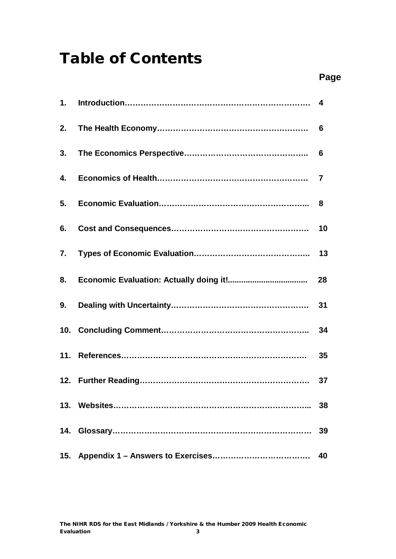# **Table of Contents**

| 6.  |    |
|-----|----|
|     |    |
|     |    |
|     |    |
|     |    |
|     |    |
|     |    |
|     | 38 |
| 14. | 39 |
|     | 40 |
|     |    |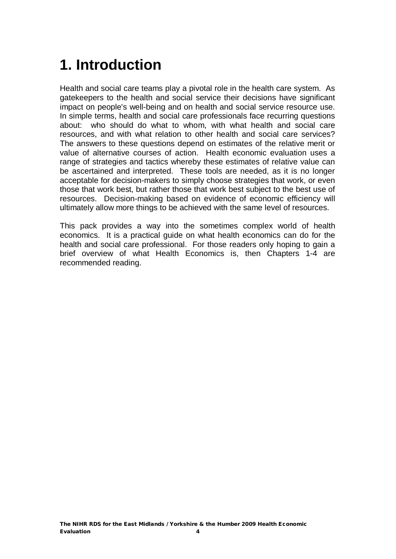# **1. Introduction**

Health and social care teams play a pivotal role in the health care system. As gatekeepers to the health and social service their decisions have significant impact on people's well-being and on health and social service resource use. In simple terms, health and social care professionals face recurring questions about: who should do what to whom, with what health and social care resources, and with what relation to other health and social care services? The answers to these questions depend on estimates of the relative merit or value of alternative courses of action. Health economic evaluation uses a range of strategies and tactics whereby these estimates of relative value can be ascertained and interpreted. These tools are needed, as it is no longer acceptable for decision-makers to simply choose strategies that work, or even those that work best, but rather those that work best subject to the best use of resources. Decision-making based on evidence of economic efficiency will ultimately allow more things to be achieved with the same level of resources.

This pack provides a way into the sometimes complex world of health economics. It is a practical guide on what health economics can do for the health and social care professional. For those readers only hoping to gain a brief overview of what Health Economics is, then Chapters 1-4 are recommended reading.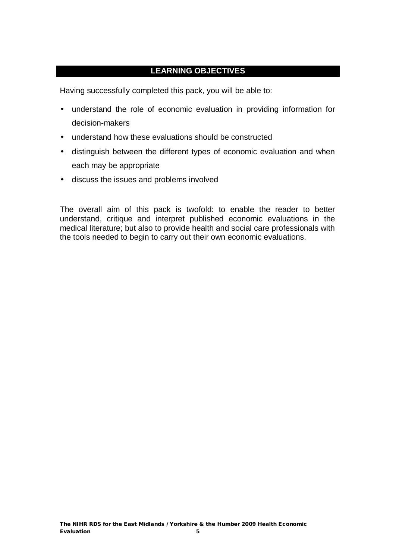#### **LEARNING OBJECTIVES**

Having successfully completed this pack, you will be able to:

- understand the role of economic evaluation in providing information for decision-makers
- understand how these evaluations should be constructed
- distinguish between the different types of economic evaluation and when each may be appropriate
- discuss the issues and problems involved

The overall aim of this pack is twofold: to enable the reader to better understand, critique and interpret published economic evaluations in the medical literature; but also to provide health and social care professionals with the tools needed to begin to carry out their own economic evaluations.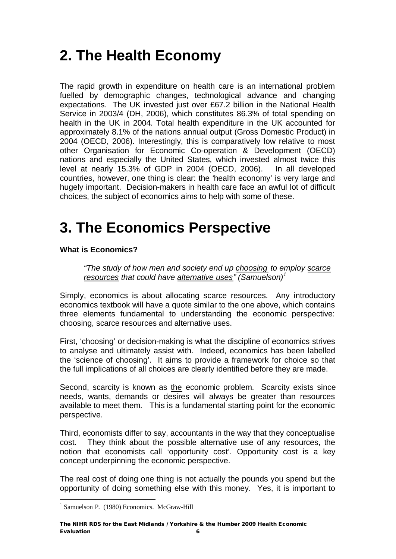# **2. The Health Economy**

The rapid growth in expenditure on health care is an international problem fuelled by demographic changes, technological advance and changing expectations. The UK invested just over £67.2 billion in the National Health Service in 2003/4 (DH, 2006), which constitutes 86.3% of total spending on health in the UK in 2004. Total health expenditure in the UK accounted for approximately 8.1% of the nations annual output (Gross Domestic Product) in 2004 (OECD, 2006). Interestingly, this is comparatively low relative to most other Organisation for Economic Co-operation & Development (OECD) nations and especially the United States, which invested almost twice this level at nearly 15.3% of GDP in 2004 (OECD, 2006). In all developed countries, however, one thing is clear: the 'health economy' is very large and hugely important. Decision-makers in health care face an awful lot of difficult choices, the subject of economics aims to help with some of these.

# **3. The Economics Perspective**

#### **What is Economics?**

*"The study of how men and society end up choosing to employ scarce resources that could have alternative uses" (Samuelson)<sup>1</sup>*

Simply, economics is about allocating scarce resources. Any introductory economics textbook will have a quote similar to the one above, which contains three elements fundamental to understanding the economic perspective: choosing, scarce resources and alternative uses.

First, 'choosing' or decision-making is what the discipline of economics strives to analyse and ultimately assist with. Indeed, economics has been labelled the 'science of choosing'. It aims to provide a framework for choice so that the full implications of all choices are clearly identified before they are made.

Second, scarcity is known as the economic problem. Scarcity exists since needs, wants, demands or desires will always be greater than resources available to meet them. This is a fundamental starting point for the economic perspective.

Third, economists differ to say, accountants in the way that they conceptualise cost. They think about the possible alternative use of any resources, the notion that economists call 'opportunity cost'. Opportunity cost is a key concept underpinning the economic perspective.

The real cost of doing one thing is not actually the pounds you spend but the opportunity of doing something else with this money. Yes, it is important to

 $\overline{a}$ <sup>1</sup> Samuelson P. (1980) Economics. McGraw-Hill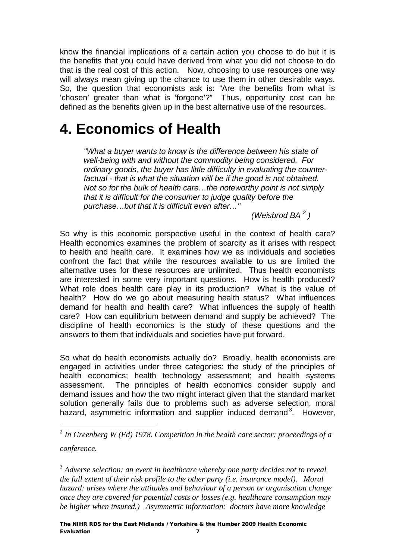know the financial implications of a certain action you choose to do but it is the benefits that you could have derived from what you did not choose to do that is the real cost of this action. Now, choosing to use resources one way will always mean giving up the chance to use them in other desirable ways. So, the question that economists ask is: "Are the benefits from what is 'chosen' greater than what is 'forgone'?" Thus, opportunity cost can be defined as the benefits given up in the best alternative use of the resources.

# **4. Economics of Health**

*"What a buyer wants to know is the difference between his state of well-being with and without the commodity being considered. For ordinary goods, the buyer has little difficulty in evaluating the counterfactual - that is what the situation will be if the good is not obtained. Not so for the bulk of health care…the noteworthy point is not simply that it is difficult for the consumer to judge quality before the purchase…but that it is difficult even after…"* 

*(Weisbrod BA <sup>2</sup> )* 

So why is this economic perspective useful in the context of health care? Health economics examines the problem of scarcity as it arises with respect to health and health care. It examines how we as individuals and societies confront the fact that while the resources available to us are limited the alternative uses for these resources are unlimited. Thus health economists are interested in some very important questions. How is health produced? What role does health care play in its production? What is the value of health? How do we go about measuring health status? What influences demand for health and health care? What influences the supply of health care? How can equilibrium between demand and supply be achieved? The discipline of health economics is the study of these questions and the answers to them that individuals and societies have put forward.

So what do health economists actually do? Broadly, health economists are engaged in activities under three categories: the study of the principles of health economics; health technology assessment; and health systems assessment. The principles of health economics consider supply and demand issues and how the two might interact given that the standard market solution generally fails due to problems such as adverse selection, moral hazard, asymmetric information and supplier induced demand<sup>3</sup>. However,

3 *Adverse selection: an event in healthcare whereby one party decides not to reveal the full extent of their risk profile to the other party (i.e. insurance model). Moral hazard: arises where the attitudes and behaviour of a person or organisation change once they are covered for potential costs or losses (e.g. healthcare consumption may be higher when insured.) Asymmetric information: doctors have more knowledge* 

 2 *In Greenberg W (Ed) 1978. Competition in the health care sector: proceedings of a conference.*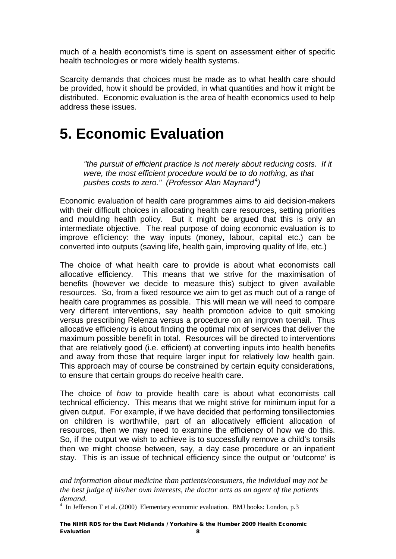much of a health economist's time is spent on assessment either of specific health technologies or more widely health systems.

Scarcity demands that choices must be made as to what health care should be provided, how it should be provided, in what quantities and how it might be distributed. Economic evaluation is the area of health economics used to help address these issues.

# **5. Economic Evaluation**

*"the pursuit of efficient practice is not merely about reducing costs. If it were, the most efficient procedure would be to do nothing, as that pushes costs to zero." (Professor Alan Maynard<sup>4</sup> )* 

Economic evaluation of health care programmes aims to aid decision-makers with their difficult choices in allocating health care resources, setting priorities and moulding health policy. But it might be argued that this is only an intermediate objective. The real purpose of doing economic evaluation is to improve efficiency: the way inputs (money, labour, capital etc.) can be converted into outputs (saving life, health gain, improving quality of life, etc.)

The choice of what health care to provide is about what economists call allocative efficiency. This means that we strive for the maximisation of benefits (however we decide to measure this) subject to given available resources. So, from a fixed resource we aim to get as much out of a range of health care programmes as possible. This will mean we will need to compare very different interventions, say health promotion advice to quit smoking versus prescribing Relenza versus a procedure on an ingrown toenail. Thus allocative efficiency is about finding the optimal mix of services that deliver the maximum possible benefit in total. Resources will be directed to interventions that are relatively good (i.e. efficient) at converting inputs into health benefits and away from those that require larger input for relatively low health gain. This approach may of course be constrained by certain equity considerations, to ensure that certain groups do receive health care.

The choice of *how* to provide health care is about what economists call technical efficiency. This means that we might strive for minimum input for a given output. For example, if we have decided that performing tonsillectomies on children is worthwhile, part of an allocatively efficient allocation of resources, then we may need to examine the efficiency of how we do this. So, if the output we wish to achieve is to successfully remove a child's tonsils then we might choose between, say, a day case procedure or an inpatient stay. This is an issue of technical efficiency since the output or 'outcome' is

 $\overline{a}$ 

*and information about medicine than patients/consumers, the individual may not be the best judge of his/her own interests, the doctor acts as an agent of the patients demand.* 

<sup>4</sup> In Jefferson T et al. (2000) Elementary economic evaluation. BMJ books: London, p.3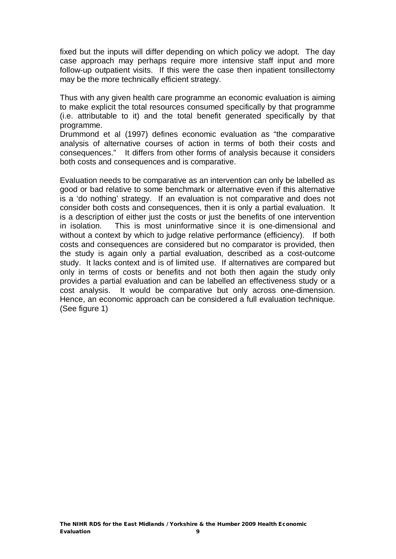fixed but the inputs will differ depending on which policy we adopt. The day case approach may perhaps require more intensive staff input and more follow-up outpatient visits. If this were the case then inpatient tonsillectomy may be the more technically efficient strategy.

Thus with any given health care programme an economic evaluation is aiming to make explicit the total resources consumed specifically by that programme (i.e. attributable to it) and the total benefit generated specifically by that programme.

Drummond et al (1997) defines economic evaluation as "the comparative analysis of alternative courses of action in terms of both their costs and consequences." It differs from other forms of analysis because it considers both costs and consequences and is comparative.

Evaluation needs to be comparative as an intervention can only be labelled as good or bad relative to some benchmark or alternative even if this alternative is a 'do nothing' strategy. If an evaluation is not comparative and does not consider both costs and consequences, then it is only a partial evaluation. It is a description of either just the costs or just the benefits of one intervention in isolation. This is most uninformative since it is one-dimensional and without a context by which to judge relative performance (efficiency). If both costs and consequences are considered but no comparator is provided, then the study is again only a partial evaluation, described as a cost-outcome study. It lacks context and is of limited use. If alternatives are compared but only in terms of costs or benefits and not both then again the study only provides a partial evaluation and can be labelled an effectiveness study or a cost analysis. It would be comparative but only across one-dimension. Hence, an economic approach can be considered a full evaluation technique. (See figure 1)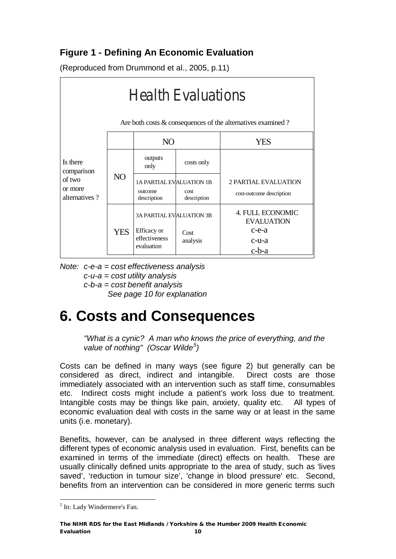### **Figure 1 - Defining An Economic Evaluation**

(Reproduced from Drummond et al., 2005, p.11)



*Note: c-e-a = cost effectiveness analysis c-u-a = cost utility analysis c-b-a = cost benefit analysis See page 10 for explanation* 

# **6. Costs and Consequences**

*"What is a cynic? A man who knows the price of everything, and the value of nothing" (Oscar Wilde<sup>5</sup> )* 

Costs can be defined in many ways (see figure 2) but generally can be considered as direct, indirect and intangible. Direct costs are those immediately associated with an intervention such as staff time, consumables etc. Indirect costs might include a patient's work loss due to treatment. Intangible costs may be things like pain, anxiety, quality etc. All types of economic evaluation deal with costs in the same way or at least in the same units (i.e. monetary).

Benefits, however, can be analysed in three different ways reflecting the different types of economic analysis used in evaluation. First, benefits can be examined in terms of the immediate (direct) effects on health. These are usually clinically defined units appropriate to the area of study, such as 'lives saved', 'reduction in tumour size', 'change in blood pressure' etc. Second, benefits from an intervention can be considered in more generic terms such

 $\overline{a}$ 5 In: Lady Windermere's Fan.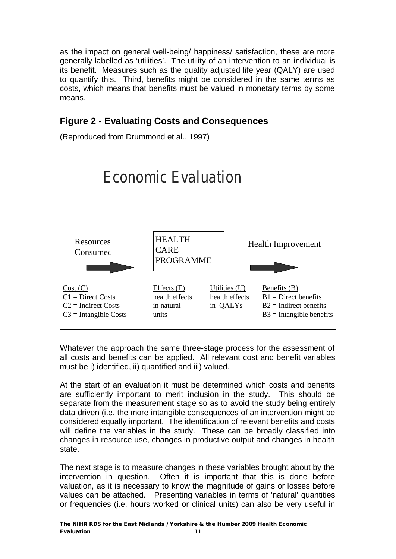as the impact on general well-being/ happiness/ satisfaction, these are more generally labelled as 'utilities'. The utility of an intervention to an individual is its benefit. Measures such as the quality adjusted life year (QALY) are used to quantify this. Third, benefits might be considered in the same terms as costs, which means that benefits must be valued in monetary terms by some means.

### **Figure 2 - Evaluating Costs and Consequences**

(Reproduced from Drummond et al., 1997)



Whatever the approach the same three-stage process for the assessment of all costs and benefits can be applied. All relevant cost and benefit variables must be i) identified, ii) quantified and iii) valued.

At the start of an evaluation it must be determined which costs and benefits are sufficiently important to merit inclusion in the study. This should be separate from the measurement stage so as to avoid the study being entirely data driven (i.e. the more intangible consequences of an intervention might be considered equally important. The identification of relevant benefits and costs will define the variables in the study. These can be broadly classified into changes in resource use, changes in productive output and changes in health state.

The next stage is to measure changes in these variables brought about by the intervention in question. Often it is important that this is done before valuation, as it is necessary to know the magnitude of gains or losses before values can be attached. Presenting variables in terms of 'natural' quantities or frequencies (i.e. hours worked or clinical units) can also be very useful in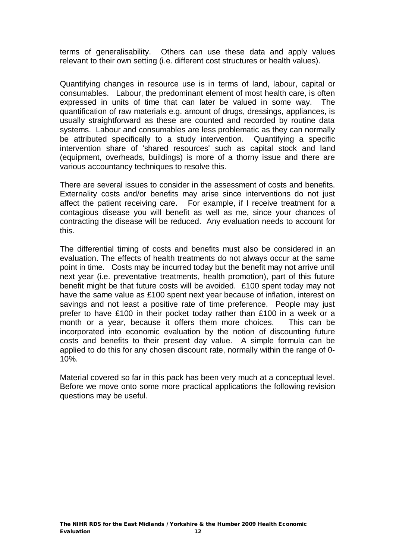terms of generalisability. Others can use these data and apply values relevant to their own setting (i.e. different cost structures or health values).

Quantifying changes in resource use is in terms of land, labour, capital or consumables. Labour, the predominant element of most health care, is often expressed in units of time that can later be valued in some way. The quantification of raw materials e.g. amount of drugs, dressings, appliances, is usually straightforward as these are counted and recorded by routine data systems. Labour and consumables are less problematic as they can normally be attributed specifically to a study intervention. Quantifying a specific intervention share of 'shared resources' such as capital stock and land (equipment, overheads, buildings) is more of a thorny issue and there are various accountancy techniques to resolve this.

There are several issues to consider in the assessment of costs and benefits. Externality costs and/or benefits may arise since interventions do not just affect the patient receiving care. For example, if I receive treatment for a contagious disease you will benefit as well as me, since your chances of contracting the disease will be reduced. Any evaluation needs to account for this.

The differential timing of costs and benefits must also be considered in an evaluation. The effects of health treatments do not always occur at the same point in time. Costs may be incurred today but the benefit may not arrive until next year (i.e. preventative treatments, health promotion), part of this future benefit might be that future costs will be avoided. £100 spent today may not have the same value as £100 spent next year because of inflation, interest on savings and not least a positive rate of time preference. People may just prefer to have £100 in their pocket today rather than £100 in a week or a month or a year, because it offers them more choices. This can be incorporated into economic evaluation by the notion of discounting future costs and benefits to their present day value. A simple formula can be applied to do this for any chosen discount rate, normally within the range of 0- 10%.

Material covered so far in this pack has been very much at a conceptual level. Before we move onto some more practical applications the following revision questions may be useful.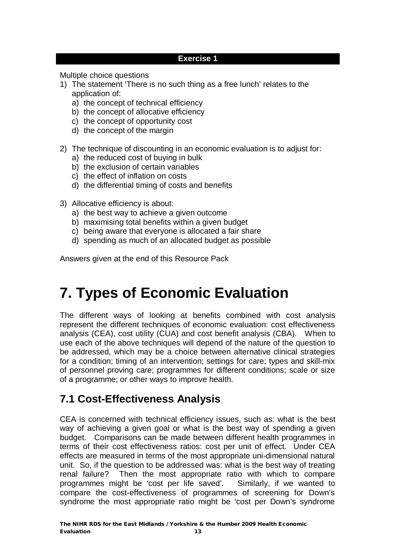#### **Exercise 1**

Multiple choice questions

- 1) The statement 'There is no such thing as a free lunch' relates to the application of:
	- a) the concept of technical efficiency
	- b) the concept of allocative efficiency
	- c) the concept of opportunity cost
	- d) the concept of the margin
- 2) The technique of discounting in an economic evaluation is to adjust for:
	- a) the reduced cost of buying in bulk
	- b) the exclusion of certain variables
	- c) the effect of inflation on costs
	- d) the differential timing of costs and benefits
- 3) Allocative efficiency is about:
	- a) the best way to achieve a given outcome
	- b) maximising total benefits within a given budget
	- c) being aware that everyone is allocated a fair share
	- d) spending as much of an allocated budget as possible

Answers given at the end of this Resource Pack

# **7. Types of Economic Evaluation**

The different ways of looking at benefits combined with cost analysis represent the different techniques of economic evaluation: cost effectiveness analysis (CEA), cost utility (CUA) and cost benefit analysis (CBA). When to use each of the above techniques will depend of the nature of the question to be addressed, which may be a choice between alternative clinical strategies for a condition; timing of an intervention; settings for care; types and skill-mix of personnel proving care; programmes for different conditions; scale or size of a programme; or other ways to improve health.

## **7.1 Cost-Effectiveness Analysis**

CEA is concerned with technical efficiency issues, such as: what is the best way of achieving a given goal or what is the best way of spending a given budget. Comparisons can be made between different health programmes in terms of their cost effectiveness ratios: cost per unit of effect. Under CEA effects are measured in terms of the most appropriate uni-dimensional natural unit. So, if the question to be addressed was: what is the best way of treating renal failure? Then the most appropriate ratio with which to compare programmes might be 'cost per life saved'. Similarly, if we wanted to compare the cost-effectiveness of programmes of screening for Down's syndrome the most appropriate ratio might be 'cost per Down's syndrome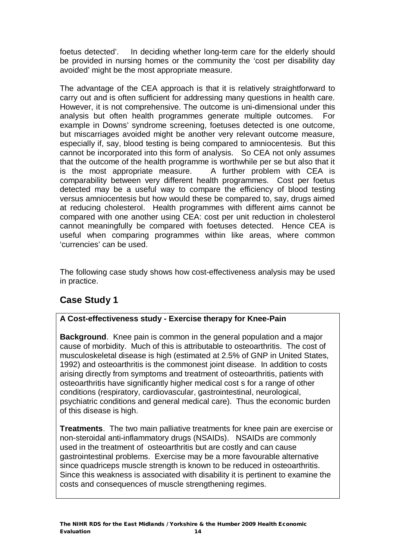foetus detected'. In deciding whether long-term care for the elderly should be provided in nursing homes or the community the 'cost per disability day avoided' might be the most appropriate measure.

The advantage of the CEA approach is that it is relatively straightforward to carry out and is often sufficient for addressing many questions in health care. However, it is not comprehensive. The outcome is uni-dimensional under this analysis but often health programmes generate multiple outcomes. For example in Downs' syndrome screening, foetuses detected is one outcome, but miscarriages avoided might be another very relevant outcome measure, especially if, say, blood testing is being compared to amniocentesis. But this cannot be incorporated into this form of analysis. So CEA not only assumes that the outcome of the health programme is worthwhile per se but also that it is the most appropriate measure. A further problem with CEA is comparability between very different health programmes. Cost per foetus detected may be a useful way to compare the efficiency of blood testing versus amniocentesis but how would these be compared to, say, drugs aimed at reducing cholesterol. Health programmes with different aims cannot be compared with one another using CEA: cost per unit reduction in cholesterol cannot meaningfully be compared with foetuses detected. Hence CEA is useful when comparing programmes within like areas, where common 'currencies' can be used.

The following case study shows how cost-effectiveness analysis may be used in practice.

### **Case Study 1**

#### **A Cost-effectiveness study - Exercise therapy for Knee-Pain**

**Background**. Knee pain is common in the general population and a major cause of morbidity. Much of this is attributable to osteoarthritis. The cost of musculoskeletal disease is high (estimated at 2.5% of GNP in United States, 1992) and osteoarthritis is the commonest joint disease. In addition to costs arising directly from symptoms and treatment of osteoarthritis, patients with osteoarthritis have significantly higher medical cost s for a range of other conditions (respiratory, cardiovascular, gastrointestinal, neurological, psychiatric conditions and general medical care). Thus the economic burden of this disease is high.

**Treatments**. The two main palliative treatments for knee pain are exercise or non-steroidal anti-inflammatory drugs (NSAIDs). NSAIDs are commonly used in the treatment of osteoarthritis but are costly and can cause gastrointestinal problems. Exercise may be a more favourable alternative since quadriceps muscle strength is known to be reduced in osteoarthritis. Since this weakness is associated with disability it is pertinent to examine the costs and consequences of muscle strengthening regimes.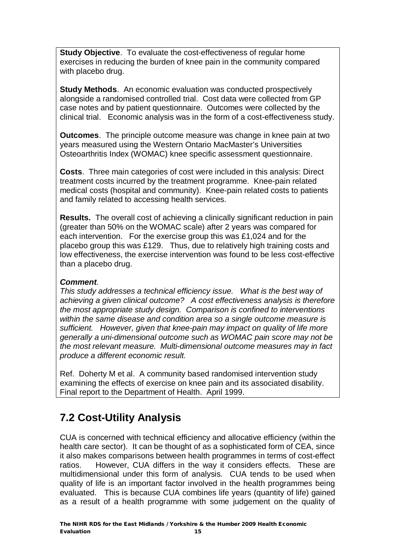**Study Objective.** To evaluate the cost-effectiveness of regular home exercises in reducing the burden of knee pain in the community compared with placebo drug.

**Study Methods**. An economic evaluation was conducted prospectively alongside a randomised controlled trial. Cost data were collected from GP case notes and by patient questionnaire. Outcomes were collected by the clinical trial. Economic analysis was in the form of a cost-effectiveness study.

**Outcomes**. The principle outcome measure was change in knee pain at two years measured using the Western Ontario MacMaster's Universities Osteoarthritis Index (WOMAC) knee specific assessment questionnaire.

**Costs**. Three main categories of cost were included in this analysis: Direct treatment costs incurred by the treatment programme. Knee-pain related medical costs (hospital and community). Knee-pain related costs to patients and family related to accessing health services.

**Results.** The overall cost of achieving a clinically significant reduction in pain (greater than 50% on the WOMAC scale) after 2 years was compared for each intervention. For the exercise group this was £1,024 and for the placebo group this was £129. Thus, due to relatively high training costs and low effectiveness, the exercise intervention was found to be less cost-effective than a placebo drug.

#### *Comment.*

*This study addresses a technical efficiency issue. What is the best way of achieving a given clinical outcome? A cost effectiveness analysis is therefore the most appropriate study design. Comparison is confined to interventions within the same disease and condition area so a single outcome measure is sufficient. However, given that knee-pain may impact on quality of life more generally a uni-dimensional outcome such as WOMAC pain score may not be the most relevant measure. Multi-dimensional outcome measures may in fact produce a different economic result.* 

Ref. Doherty M et al. A community based randomised intervention study examining the effects of exercise on knee pain and its associated disability. Final report to the Department of Health. April 1999.

# **7.2 Cost-Utility Analysis**

CUA is concerned with technical efficiency and allocative efficiency (within the health care sector). It can be thought of as a sophisticated form of CEA, since it also makes comparisons between health programmes in terms of cost-effect ratios. However, CUA differs in the way it considers effects. These are multidimensional under this form of analysis. CUA tends to be used when quality of life is an important factor involved in the health programmes being evaluated. This is because CUA combines life years (quantity of life) gained as a result of a health programme with some judgement on the quality of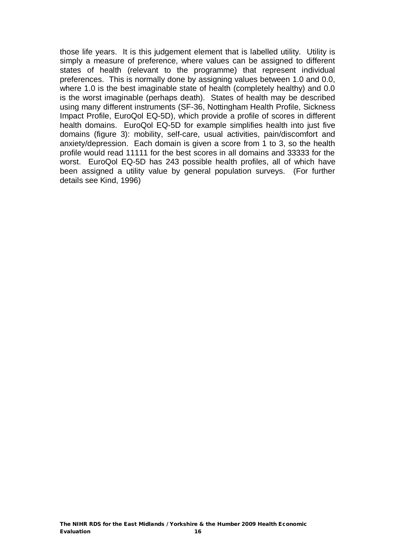those life years. It is this judgement element that is labelled utility. Utility is simply a measure of preference, where values can be assigned to different states of health (relevant to the programme) that represent individual preferences. This is normally done by assigning values between 1.0 and 0.0, where 1.0 is the best imaginable state of health (completely healthy) and 0.0 is the worst imaginable (perhaps death). States of health may be described using many different instruments (SF-36, Nottingham Health Profile, Sickness Impact Profile, EuroQol EQ-5D), which provide a profile of scores in different health domains. EuroQol EQ-5D for example simplifies health into just five domains (figure 3): mobility, self-care, usual activities, pain/discomfort and anxiety/depression. Each domain is given a score from 1 to 3, so the health profile would read 11111 for the best scores in all domains and 33333 for the worst. EuroQol EQ-5D has 243 possible health profiles, all of which have been assigned a utility value by general population surveys. (For further details see Kind, 1996)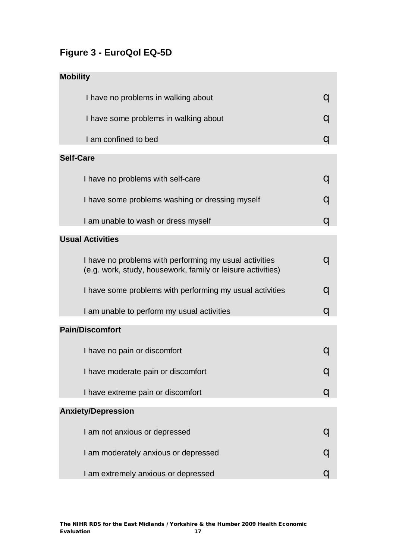## **Figure 3 - EuroQol EQ-5D**

| <b>Mobility</b>                                                                                                       |   |
|-----------------------------------------------------------------------------------------------------------------------|---|
| I have no problems in walking about                                                                                   |   |
| I have some problems in walking about                                                                                 | q |
| I am confined to bed                                                                                                  | a |
| <b>Self-Care</b>                                                                                                      |   |
| I have no problems with self-care                                                                                     | a |
| I have some problems washing or dressing myself                                                                       | q |
| I am unable to wash or dress myself                                                                                   | a |
| <b>Usual Activities</b>                                                                                               |   |
| I have no problems with performing my usual activities<br>(e.g. work, study, housework, family or leisure activities) |   |
| I have some problems with performing my usual activities                                                              | a |
| I am unable to perform my usual activities                                                                            | u |
| <b>Pain/Discomfort</b>                                                                                                |   |
| I have no pain or discomfort                                                                                          |   |
| I have moderate pain or discomfort                                                                                    |   |
| I have extreme pain or discomfort                                                                                     |   |
| <b>Anxiety/Depression</b>                                                                                             |   |
| I am not anxious or depressed                                                                                         |   |
| I am moderately anxious or depressed                                                                                  |   |
| I am extremely anxious or depressed                                                                                   |   |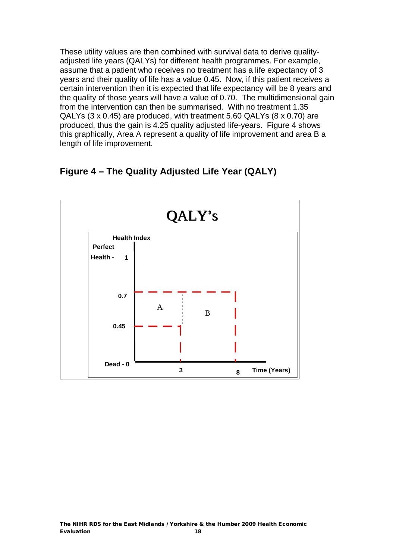These utility values are then combined with survival data to derive qualityadjusted life years (QALYs) for different health programmes. For example, assume that a patient who receives no treatment has a life expectancy of 3 years and their quality of life has a value 0.45. Now, if this patient receives a certain intervention then it is expected that life expectancy will be 8 years and the quality of those years will have a value of 0.70. The multidimensional gain from the intervention can then be summarised. With no treatment 1.35 QALYs (3 x 0.45) are produced, with treatment 5.60 QALYs (8 x 0.70) are produced, thus the gain is 4.25 quality adjusted life-years. Figure 4 shows this graphically, Area A represent a quality of life improvement and area B a length of life improvement.

### **Figure 4 – The Quality Adjusted Life Year (QALY)**

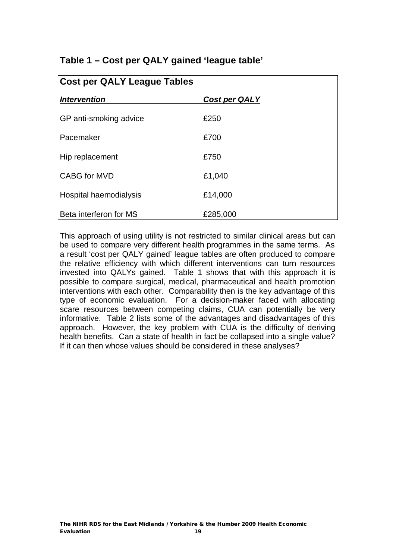| Table 1 - Cost per QALY gained 'league table' |  |  |  |  |  |  |
|-----------------------------------------------|--|--|--|--|--|--|
|-----------------------------------------------|--|--|--|--|--|--|

| <b>Cost per QALY League Tables</b> |                      |  |  |
|------------------------------------|----------------------|--|--|
| Intervention                       | <b>Cost per QALY</b> |  |  |
| GP anti-smoking advice             | £250                 |  |  |
| l Pacemaker                        | £700                 |  |  |
| Hip replacement                    | £750                 |  |  |
| <b>CABG</b> for MVD                | £1,040               |  |  |
| Hospital haemodialysis             | £14,000              |  |  |
| Beta interferon for MS             | £285,000             |  |  |

This approach of using utility is not restricted to similar clinical areas but can be used to compare very different health programmes in the same terms. As a result 'cost per QALY gained' league tables are often produced to compare the relative efficiency with which different interventions can turn resources invested into QALYs gained. Table 1 shows that with this approach it is possible to compare surgical, medical, pharmaceutical and health promotion interventions with each other. Comparability then is the key advantage of this type of economic evaluation. For a decision-maker faced with allocating scare resources between competing claims, CUA can potentially be very informative. Table 2 lists some of the advantages and disadvantages of this approach. However, the key problem with CUA is the difficulty of deriving health benefits. Can a state of health in fact be collapsed into a single value? If it can then whose values should be considered in these analyses?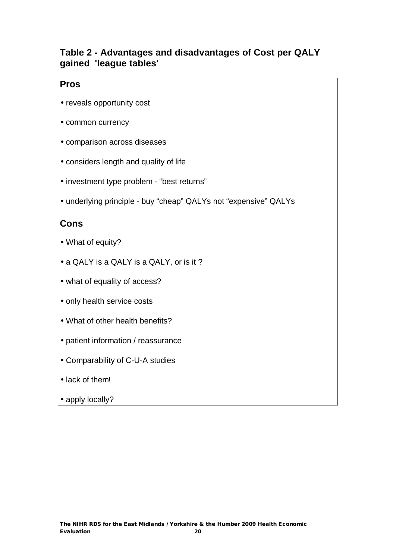### **Table 2 - Advantages and disadvantages of Cost per QALY gained 'league tables'**

### **Pros**

- reveals opportunity cost
- common currency
- comparison across diseases
- considers length and quality of life
- investment type problem "best returns"
- underlying principle buy "cheap" QALYs not "expensive" QALYs

### **Cons**

- What of equity?
- a QALY is a QALY is a QALY, or is it ?
- what of equality of access?
- only health service costs
- What of other health benefits?
- patient information / reassurance
- Comparability of C-U-A studies
- lack of them!
- apply locally?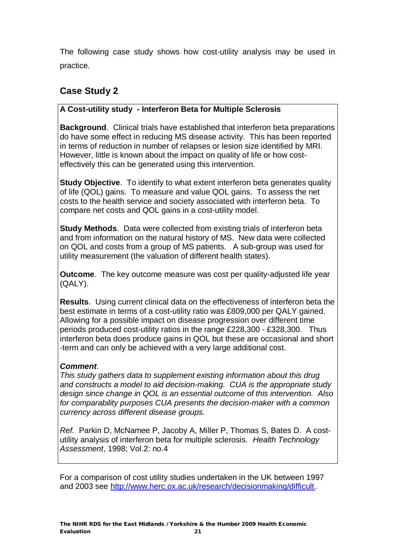The following case study shows how cost-utility analysis may be used in practice.

### **Case Study 2**

#### **A Cost-utility study - Interferon Beta for Multiple Sclerosis**

**Background**. Clinical trials have established that interferon beta preparations do have some effect in reducing MS disease activity. This has been reported in terms of reduction in number of relapses or lesion size identified by MRI. However, little is known about the impact on quality of life or how costeffectively this can be generated using this intervention.

**Study Objective**. To identify to what extent interferon beta generates quality of life (QOL) gains. To measure and value QOL gains. To assess the net costs to the health service and society associated with interferon beta. To compare net costs and QOL gains in a cost-utility model.

**Study Methods**. Data were collected from existing trials of interferon beta and from information on the natural history of MS. New data were collected on QOL and costs from a group of MS patients. A sub-group was used for utility measurement (the valuation of different health states).

**Outcome**. The key outcome measure was cost per quality-adjusted life year (QALY).

**Results**. Using current clinical data on the effectiveness of interferon beta the best estimate in terms of a cost-utility ratio was £809,000 per QALY gained. Allowing for a possible impact on disease progression over different time periods produced cost-utility ratios in the range £228,300 - £328,300. Thus interferon beta does produce gains in QOL but these are occasional and short -term and can only be achieved with a very large additional cost.

#### *Comment*.

*This study gathers data to supplement existing information about this drug and constructs a model to aid decision-making. CUA is the appropriate study design since change in QOL is an essential outcome of this intervention. Also for comparability purposes CUA presents the decision-maker with a common currency across different disease groups.* 

*Ref.* Parkin D, McNamee P, Jacoby A, Miller P, Thomas S, Bates D. A costutility analysis of interferon beta for multiple sclerosis. *Health Technology Assessment*, 1998; Vol.2: no.4

For a comparison of cost utility studies undertaken in the UK between 1997 and 2003 see [http://www.herc.ox.ac.uk/research/decisionmaking/difficult.](http://www.herc.ox.ac.uk/research/decisionmaking/difficult)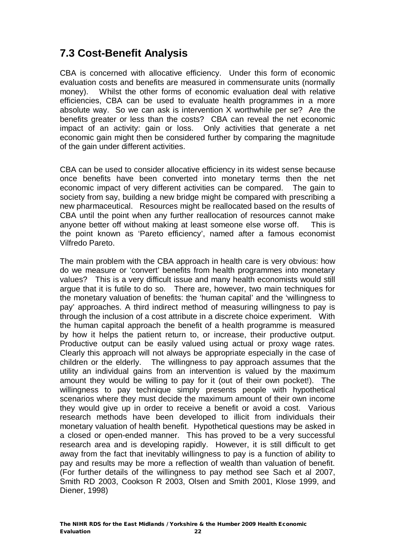# **7.3 Cost-Benefit Analysis**

CBA is concerned with allocative efficiency. Under this form of economic evaluation costs and benefits are measured in commensurate units (normally money). Whilst the other forms of economic evaluation deal with relative efficiencies, CBA can be used to evaluate health programmes in a more absolute way. So we can ask is intervention X worthwhile per se? Are the benefits greater or less than the costs? CBA can reveal the net economic impact of an activity: gain or loss. Only activities that generate a net economic gain might then be considered further by comparing the magnitude of the gain under different activities.

CBA can be used to consider allocative efficiency in its widest sense because once benefits have been converted into monetary terms then the net economic impact of very different activities can be compared. The gain to society from say, building a new bridge might be compared with prescribing a new pharmaceutical. Resources might be reallocated based on the results of CBA until the point when any further reallocation of resources cannot make anyone better off without making at least someone else worse off. This is the point known as 'Pareto efficiency', named after a famous economist Vilfredo Pareto.

The main problem with the CBA approach in health care is very obvious: how do we measure or 'convert' benefits from health programmes into monetary values? This is a very difficult issue and many health economists would still argue that it is futile to do so. There are, however, two main techniques for the monetary valuation of benefits: the 'human capital' and the 'willingness to pay' approaches. A third indirect method of measuring willingness to pay is through the inclusion of a cost attribute in a discrete choice experiment. With the human capital approach the benefit of a health programme is measured by how it helps the patient return to, or increase, their productive output. Productive output can be easily valued using actual or proxy wage rates. Clearly this approach will not always be appropriate especially in the case of children or the elderly. The willingness to pay approach assumes that the utility an individual gains from an intervention is valued by the maximum amount they would be willing to pay for it (out of their own pocket!). The willingness to pay technique simply presents people with hypothetical scenarios where they must decide the maximum amount of their own income they would give up in order to receive a benefit or avoid a cost. Various research methods have been developed to illicit from individuals their monetary valuation of health benefit. Hypothetical questions may be asked in a closed or open-ended manner. This has proved to be a very successful research area and is developing rapidly. However, it is still difficult to get away from the fact that inevitably willingness to pay is a function of ability to pay and results may be more a reflection of wealth than valuation of benefit. (For further details of the willingness to pay method see Sach et al 2007, Smith RD 2003, Cookson R 2003, Olsen and Smith 2001, Klose 1999, and Diener, 1998)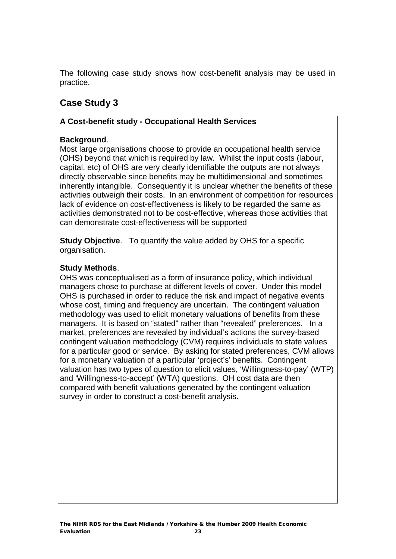The following case study shows how cost-benefit analysis may be used in practice.

### **Case Study 3**

#### **A Cost-benefit study - Occupational Health Services**

#### **Background**.

Most large organisations choose to provide an occupational health service (OHS) beyond that which is required by law. Whilst the input costs (labour, capital, etc) of OHS are very clearly identifiable the outputs are not always directly observable since benefits may be multidimensional and sometimes inherently intangible. Consequently it is unclear whether the benefits of these activities outweigh their costs. In an environment of competition for resources lack of evidence on cost-effectiveness is likely to be regarded the same as activities demonstrated not to be cost-effective, whereas those activities that can demonstrate cost-effectiveness will be supported

**Study Objective.** To quantify the value added by OHS for a specific organisation.

#### **Study Methods**.

OHS was conceptualised as a form of insurance policy, which individual managers chose to purchase at different levels of cover. Under this model OHS is purchased in order to reduce the risk and impact of negative events whose cost, timing and frequency are uncertain. The contingent valuation methodology was used to elicit monetary valuations of benefits from these managers. It is based on "stated" rather than "revealed" preferences. In a market, preferences are revealed by individual's actions the survey-based contingent valuation methodology (CVM) requires individuals to state values for a particular good or service. By asking for stated preferences, CVM allows for a monetary valuation of a particular 'project's' benefits. Contingent valuation has two types of question to elicit values, 'Willingness-to-pay' (WTP) and 'Willingness-to-accept' (WTA) questions. OH cost data are then compared with benefit valuations generated by the contingent valuation survey in order to construct a cost-benefit analysis.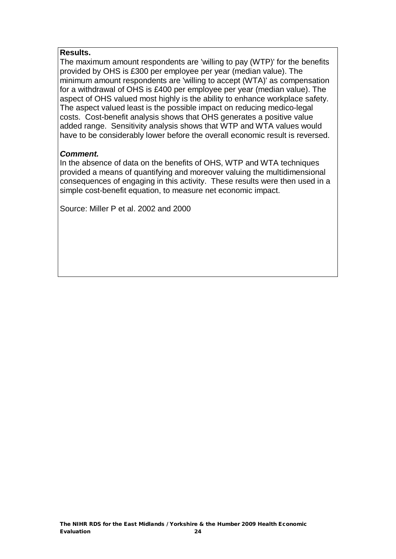#### **Results.**

The maximum amount respondents are 'willing to pay (WTP)' for the benefits provided by OHS is £300 per employee per year (median value). The minimum amount respondents are 'willing to accept (WTA)' as compensation for a withdrawal of OHS is £400 per employee per year (median value). The aspect of OHS valued most highly is the ability to enhance workplace safety. The aspect valued least is the possible impact on reducing medico-legal costs. Cost-benefit analysis shows that OHS generates a positive value added range. Sensitivity analysis shows that WTP and WTA values would have to be considerably lower before the overall economic result is reversed.

#### *Comment.*

In the absence of data on the benefits of OHS, WTP and WTA techniques provided a means of quantifying and moreover valuing the multidimensional consequences of engaging in this activity. These results were then used in a simple cost-benefit equation, to measure net economic impact.

Source: Miller P et al. 2002 and 2000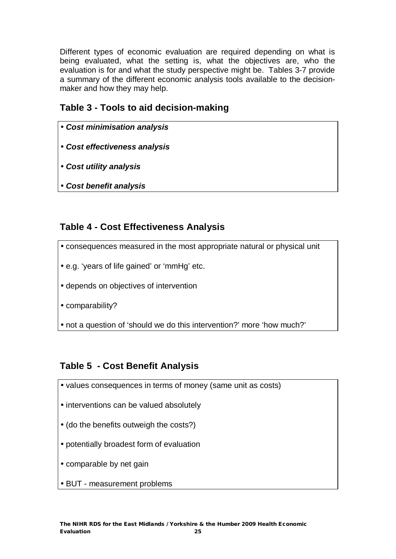Different types of economic evaluation are required depending on what is being evaluated, what the setting is, what the objectives are, who the evaluation is for and what the study perspective might be. Tables 3-7 provide a summary of the different economic analysis tools available to the decisionmaker and how they may help.

### **Table 3 - Tools to aid decision-making**

- *Cost minimisation analysis*
- *Cost effectiveness analysis*
- *Cost utility analysis*
- *Cost benefit analysis*

### **Table 4 - Cost Effectiveness Analysis**

- consequences measured in the most appropriate natural or physical unit
- e.g. 'years of life gained' or 'mmHg' etc.
- depends on objectives of intervention

• comparability?

• not a question of 'should we do this intervention?' more 'how much?'

### **Table 5 - Cost Benefit Analysis**

- values consequences in terms of money (same unit as costs)
- interventions can be valued absolutely
- (do the benefits outweigh the costs?)
- potentially broadest form of evaluation
- comparable by net gain
- BUT measurement problems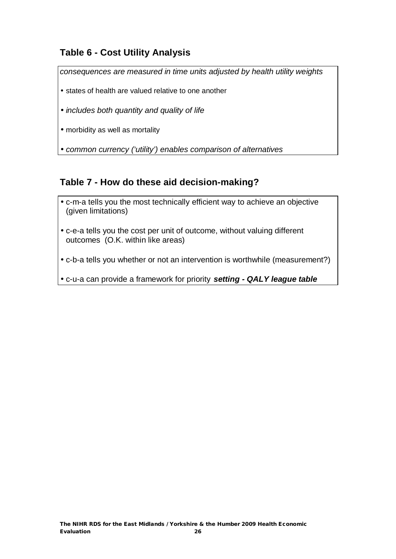### **Table 6 - Cost Utility Analysis**

*consequences are measured in time units adjusted by health utility weights* 

- states of health are valued relative to one another
- *includes both quantity and quality of life*
- morbidity as well as mortality

• *common currency ('utility') enables comparison of alternatives*

### **Table 7 - How do these aid decision-making?**

- c-m-a tells you the most technically efficient way to achieve an objective (given limitations)
- c-e-a tells you the cost per unit of outcome, without valuing different outcomes (O.K. within like areas)
- c-b-a tells you whether or not an intervention is worthwhile (measurement?)

• c-u-a can provide a framework for priority *setting - QALY league table*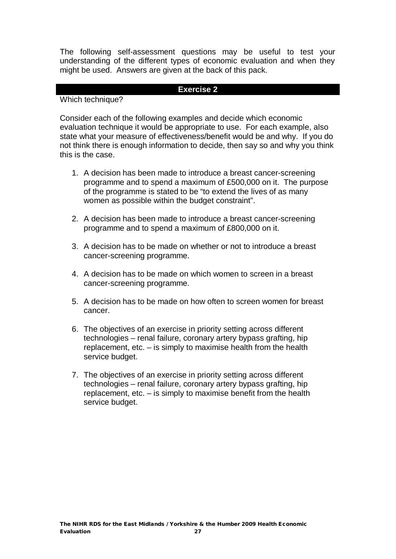The following self-assessment questions may be useful to test your understanding of the different types of economic evaluation and when they might be used. Answers are given at the back of this pack.

#### **Exercise 2**

#### Which technique?

Consider each of the following examples and decide which economic evaluation technique it would be appropriate to use. For each example, also state what your measure of effectiveness/benefit would be and why. If you do not think there is enough information to decide, then say so and why you think this is the case.

- 1. A decision has been made to introduce a breast cancer-screening programme and to spend a maximum of £500,000 on it. The purpose of the programme is stated to be "to extend the lives of as many women as possible within the budget constraint".
- 2. A decision has been made to introduce a breast cancer-screening programme and to spend a maximum of £800,000 on it.
- 3. A decision has to be made on whether or not to introduce a breast cancer-screening programme.
- 4. A decision has to be made on which women to screen in a breast cancer-screening programme.
- 5. A decision has to be made on how often to screen women for breast cancer.
- 6. The objectives of an exercise in priority setting across different technologies – renal failure, coronary artery bypass grafting, hip replacement, etc. – is simply to maximise health from the health service budget.
- 7. The objectives of an exercise in priority setting across different technologies – renal failure, coronary artery bypass grafting, hip replacement, etc. – is simply to maximise benefit from the health service budget.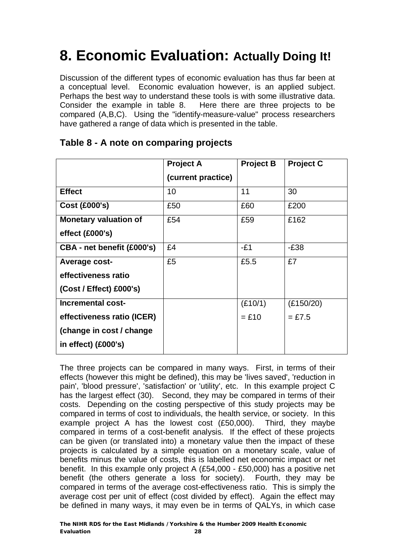# **8. Economic Evaluation: Actually Doing It!**

Discussion of the different types of economic evaluation has thus far been at a conceptual level. Economic evaluation however, is an applied subject. Perhaps the best way to understand these tools is with some illustrative data. Consider the example in table 8. Here there are three projects to be compared (A,B,C). Using the "identify-measure-value" process researchers have gathered a range of data which is presented in the table.

|                              | <b>Project A</b>   | <b>Project B</b> | <b>Project C</b> |
|------------------------------|--------------------|------------------|------------------|
|                              | (current practice) |                  |                  |
| <b>Effect</b>                | 10                 | 11               | 30               |
| <b>Cost (£000's)</b>         | £50                | £60              | £200             |
| <b>Monetary valuation of</b> | £54                | £59              | £162             |
| effect (£000's)              |                    |                  |                  |
| CBA - net benefit (£000's)   | £4                 | $-E1$            | $-E38$           |
| Average cost-                | £5                 | £5.5             | £7               |
| effectiveness ratio          |                    |                  |                  |
| $(Cost / Effect)$ £000's)    |                    |                  |                  |
| <b>Incremental cost-</b>     |                    | (E10/1)          | (E150/20)        |
| effectiveness ratio (ICER)   |                    | $=$ £10          | $=$ £7.5         |
| (change in cost / change     |                    |                  |                  |
| in effect) (£000's)          |                    |                  |                  |

### **Table 8 - A note on comparing projects**

The three projects can be compared in many ways. First, in terms of their effects (however this might be defined), this may be 'lives saved', 'reduction in pain', 'blood pressure', 'satisfaction' or 'utility', etc. In this example project C has the largest effect (30). Second, they may be compared in terms of their costs. Depending on the costing perspective of this study projects may be compared in terms of cost to individuals, the health service, or society. In this example project A has the lowest cost (£50,000). Third, they maybe compared in terms of a cost-benefit analysis. If the effect of these projects can be given (or translated into) a monetary value then the impact of these projects is calculated by a simple equation on a monetary scale, value of benefits minus the value of costs, this is labelled net economic impact or net benefit. In this example only project A (£54,000 - £50,000) has a positive net benefit (the others generate a loss for society). Fourth, they may be compared in terms of the average cost-effectiveness ratio. This is simply the average cost per unit of effect (cost divided by effect). Again the effect may be defined in many ways, it may even be in terms of QALYs, in which case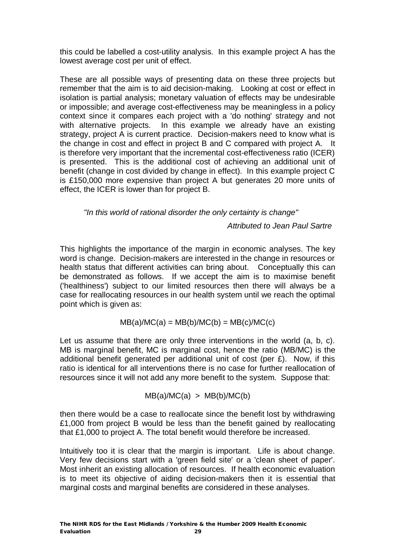this could be labelled a cost-utility analysis. In this example project A has the lowest average cost per unit of effect.

These are all possible ways of presenting data on these three projects but remember that the aim is to aid decision-making. Looking at cost or effect in isolation is partial analysis; monetary valuation of effects may be undesirable or impossible; and average cost-effectiveness may be meaningless in a policy context since it compares each project with a 'do nothing' strategy and not with alternative projects. In this example we already have an existing strategy, project A is current practice. Decision-makers need to know what is the change in cost and effect in project B and C compared with project A. It is therefore very important that the incremental cost-effectiveness ratio (ICER) is presented. This is the additional cost of achieving an additional unit of benefit (change in cost divided by change in effect). In this example project C is £150,000 more expensive than project A but generates 20 more units of effect, the ICER is lower than for project B.

*"In this world of rational disorder the only certainty is change"* 

 *Attributed to Jean Paul Sartre* 

This highlights the importance of the margin in economic analyses. The key word is change. Decision-makers are interested in the change in resources or health status that different activities can bring about. Conceptually this can be demonstrated as follows. If we accept the aim is to maximise benefit ('healthiness') subject to our limited resources then there will always be a case for reallocating resources in our health system until we reach the optimal point which is given as:

 $MB(a)/MC(a) = MB(b)/MC(b) = MB(c)/MC(c)$ 

Let us assume that there are only three interventions in the world (a, b, c). MB is marginal benefit, MC is marginal cost, hence the ratio (MB/MC) is the additional benefit generated per additional unit of cost (per £). Now, if this ratio is identical for all interventions there is no case for further reallocation of resources since it will not add any more benefit to the system. Suppose that:

 $MB(a)/MC(a) > MB(b)/MC(b)$ 

then there would be a case to reallocate since the benefit lost by withdrawing £1,000 from project B would be less than the benefit gained by reallocating that £1,000 to project A. The total benefit would therefore be increased.

Intuitively too it is clear that the margin is important. Life is about change. Very few decisions start with a 'green field site' or a 'clean sheet of paper'. Most inherit an existing allocation of resources. If health economic evaluation is to meet its objective of aiding decision-makers then it is essential that marginal costs and marginal benefits are considered in these analyses.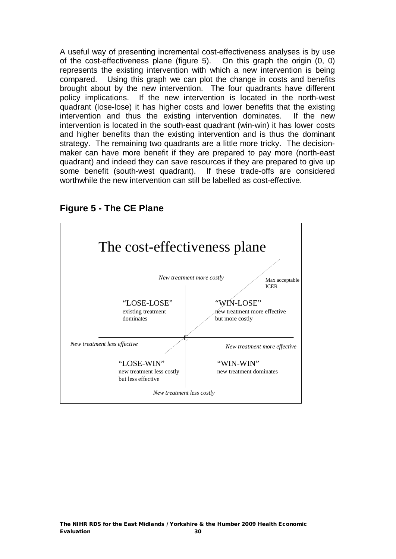A useful way of presenting incremental cost-effectiveness analyses is by use of the cost-effectiveness plane (figure 5). On this graph the origin (0, 0) represents the existing intervention with which a new intervention is being compared. Using this graph we can plot the change in costs and benefits brought about by the new intervention. The four quadrants have different policy implications. If the new intervention is located in the north-west quadrant (lose-lose) it has higher costs and lower benefits that the existing intervention and thus the existing intervention dominates. If the new intervention is located in the south-east quadrant (win-win) it has lower costs and higher benefits than the existing intervention and is thus the dominant strategy. The remaining two quadrants are a little more tricky. The decisionmaker can have more benefit if they are prepared to pay more (north-east quadrant) and indeed they can save resources if they are prepared to give up some benefit (south-west quadrant). If these trade-offs are considered worthwhile the new intervention can still be labelled as cost-effective.



#### **Figure 5 - The CE Plane**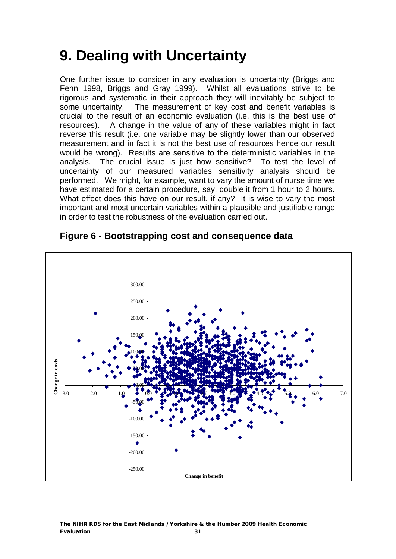# **9. Dealing with Uncertainty**

One further issue to consider in any evaluation is uncertainty (Briggs and Fenn 1998, Briggs and Gray 1999). Whilst all evaluations strive to be rigorous and systematic in their approach they will inevitably be subject to some uncertainty. The measurement of key cost and benefit variables is crucial to the result of an economic evaluation (i.e. this is the best use of resources). A change in the value of any of these variables might in fact reverse this result (i.e. one variable may be slightly lower than our observed measurement and in fact it is not the best use of resources hence our result would be wrong). Results are sensitive to the deterministic variables in the analysis. The crucial issue is just how sensitive? To test the level of uncertainty of our measured variables sensitivity analysis should be performed. We might, for example, want to vary the amount of nurse time we have estimated for a certain procedure, say, double it from 1 hour to 2 hours. What effect does this have on our result, if any? It is wise to vary the most important and most uncertain variables within a plausible and justifiable range in order to test the robustness of the evaluation carried out.



### **Figure 6 - Bootstrapping cost and consequence data**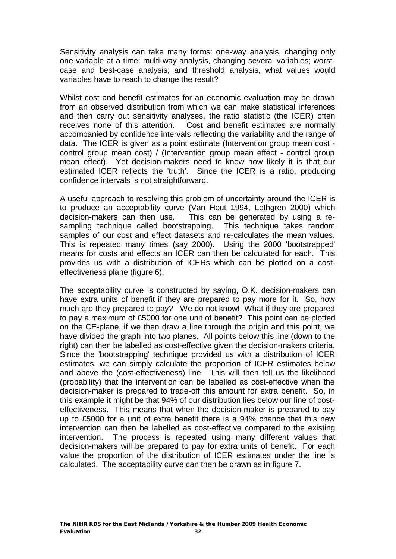Sensitivity analysis can take many forms: one-way analysis, changing only one variable at a time; multi-way analysis, changing several variables; worstcase and best-case analysis; and threshold analysis, what values would variables have to reach to change the result?

Whilst cost and benefit estimates for an economic evaluation may be drawn from an observed distribution from which we can make statistical inferences and then carry out sensitivity analyses, the ratio statistic (the ICER) often receives none of this attention. Cost and benefit estimates are normally accompanied by confidence intervals reflecting the variability and the range of data. The ICER is given as a point estimate (Intervention group mean cost control group mean cost) / (Intervention group mean effect - control group mean effect). Yet decision-makers need to know how likely it is that our estimated ICER reflects the 'truth'. Since the ICER is a ratio, producing confidence intervals is not straightforward.

A useful approach to resolving this problem of uncertainty around the ICER is to produce an acceptability curve (Van Hout 1994, Lothgren 2000) which decision-makers can then use. This can be generated by using a resampling technique called bootstrapping. This technique takes random samples of our cost and effect datasets and re-calculates the mean values. This is repeated many times (say 2000). Using the 2000 'bootstrapped' means for costs and effects an ICER can then be calculated for each. This provides us with a distribution of ICERs which can be plotted on a costeffectiveness plane (figure 6).

The acceptability curve is constructed by saying, O.K. decision-makers can have extra units of benefit if they are prepared to pay more for it. So, how much are they prepared to pay? We do not know! What if they are prepared to pay a maximum of £5000 for one unit of benefit? This point can be plotted on the CE-plane, if we then draw a line through the origin and this point, we have divided the graph into two planes. All points below this line (down to the right) can then be labelled as cost-effective given the decision-makers criteria. Since the 'bootstrapping' technique provided us with a distribution of ICER estimates, we can simply calculate the proportion of ICER estimates below and above the (cost-effectiveness) line. This will then tell us the likelihood (probability) that the intervention can be labelled as cost-effective when the decision-maker is prepared to trade-off this amount for extra benefit. So, in this example it might be that 94% of our distribution lies below our line of costeffectiveness. This means that when the decision-maker is prepared to pay up to £5000 for a unit of extra benefit there is a 94% chance that this new intervention can then be labelled as cost-effective compared to the existing intervention. The process is repeated using many different values that decision-makers will be prepared to pay for extra units of benefit. For each value the proportion of the distribution of ICER estimates under the line is calculated. The acceptability curve can then be drawn as in figure 7.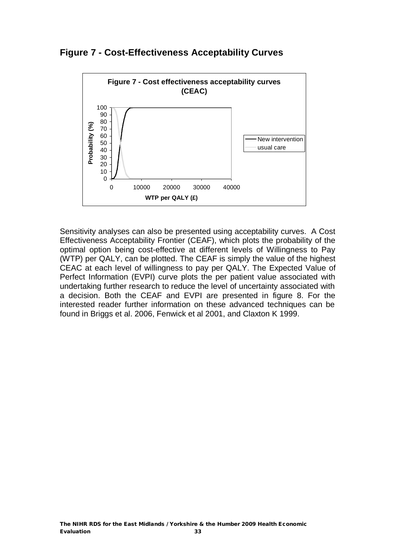**Figure 7 - Cost-Effectiveness Acceptability Curves** 



Sensitivity analyses can also be presented using acceptability curves. A Cost Effectiveness Acceptability Frontier (CEAF), which plots the probability of the optimal option being cost-effective at different levels of Willingness to Pay (WTP) per QALY, can be plotted. The CEAF is simply the value of the highest CEAC at each level of willingness to pay per QALY. The Expected Value of Perfect Information (EVPI) curve plots the per patient value associated with undertaking further research to reduce the level of uncertainty associated with a decision. Both the CEAF and EVPI are presented in figure 8. For the interested reader further information on these advanced techniques can be found in Briggs et al. 2006, Fenwick et al 2001, and Claxton K 1999.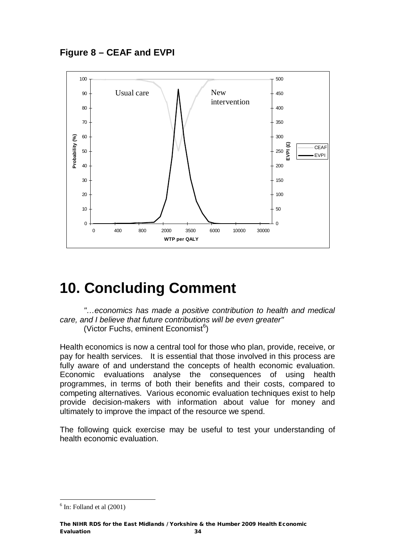

# **10. Concluding Comment**

*"…economics has made a positive contribution to health and medical care, and I believe that future contributions will be even greater"* (Victor Fuchs, eminent Economist<sup>6</sup>)

Health economics is now a central tool for those who plan, provide, receive, or pay for health services. It is essential that those involved in this process are fully aware of and understand the concepts of health economic evaluation. Economic evaluations analyse the consequences of using health programmes, in terms of both their benefits and their costs, compared to competing alternatives. Various economic evaluation techniques exist to help provide decision-makers with information about value for money and ultimately to improve the impact of the resource we spend.

The following quick exercise may be useful to test your understanding of health economic evaluation.

 $\overline{a}$  $<sup>6</sup>$  In: Folland et al (2001)</sup>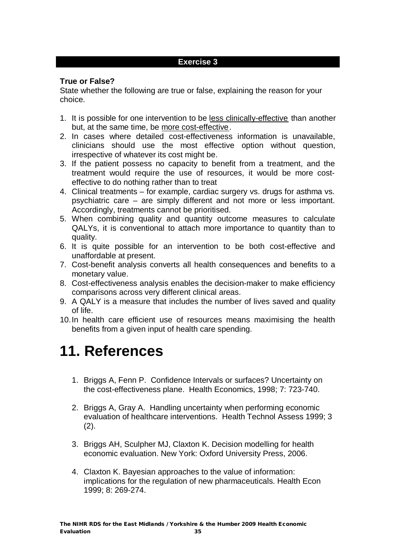#### **Exercise 3**

#### **True or False?**

State whether the following are true or false, explaining the reason for your choice.

- 1. It is possible for one intervention to be less clinically-effective than another but, at the same time, be more cost-effective.
- 2. In cases where detailed cost-effectiveness information is unavailable, clinicians should use the most effective option without question, irrespective of whatever its cost might be.
- 3. If the patient possess no capacity to benefit from a treatment, and the treatment would require the use of resources, it would be more costeffective to do nothing rather than to treat
- 4. Clinical treatments for example, cardiac surgery vs. drugs for asthma vs. psychiatric care – are simply different and not more or less important. Accordingly, treatments cannot be prioritised.
- 5. When combining quality and quantity outcome measures to calculate QALYs, it is conventional to attach more importance to quantity than to quality.
- 6. It is quite possible for an intervention to be both cost-effective and unaffordable at present.
- 7. Cost-benefit analysis converts all health consequences and benefits to a monetary value.
- 8. Cost-effectiveness analysis enables the decision-maker to make efficiency comparisons across very different clinical areas.
- 9. A QALY is a measure that includes the number of lives saved and quality of life.
- 10.In health care efficient use of resources means maximising the health benefits from a given input of health care spending.

# **11. References**

- 1. Briggs A, Fenn P. Confidence Intervals or surfaces? Uncertainty on the cost-effectiveness plane. Health Economics, 1998; 7: 723-740.
- 2. Briggs A, Gray A. Handling uncertainty when performing economic evaluation of healthcare interventions. Health Technol Assess 1999; 3  $(2).$
- 3. Briggs AH, Sculpher MJ, Claxton K. Decision modelling for health economic evaluation. New York: Oxford University Press, 2006.
- 4. Claxton K. Bayesian approaches to the value of information: implications for the regulation of new pharmaceuticals. Health Econ 1999; 8: 269-274.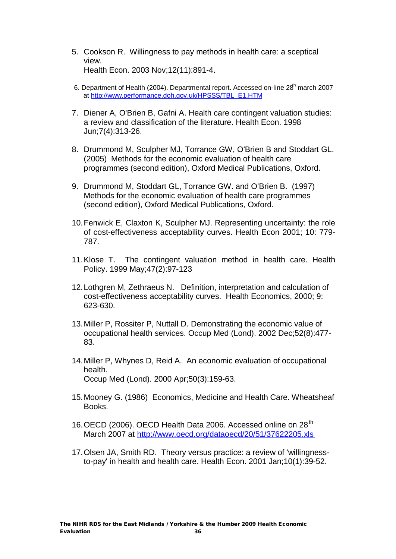- 5. Cookson R. Willingness to pay methods in health care: a sceptical view. Health Econ. 2003 Nov;12(11):891-4.
- 6. Department of Health (2004). Departmental report. Accessed on-line 28<sup>th</sup> march 2007 at [http://www.performance.doh.gov.uk/HPSSS/TBL\\_E1.HTM](http://www.performance.doh.gov.uk/HPSSS/TBL_E1.HTM)
- 7. Diener A, O'Brien B, Gafni A. Health care contingent valuation studies: a review and classification of the literature. Health Econ. 1998 Jun;7(4):313-26.
- 8. Drummond M, Sculpher MJ, Torrance GW, O'Brien B and Stoddart GL. (2005) Methods for the economic evaluation of health care programmes (second edition), Oxford Medical Publications, Oxford.
- 9. Drummond M, Stoddart GL, Torrance GW. and O'Brien B. (1997) Methods for the economic evaluation of health care programmes (second edition), Oxford Medical Publications, Oxford.
- 10.Fenwick E, Claxton K, Sculpher MJ. Representing uncertainty: the role of cost-effectiveness acceptability curves. Health Econ 2001; 10: 779- 787.
- 11.Klose T. The contingent valuation method in health care. Health Policy. 1999 May;47(2):97-123
- 12.Lothgren M, Zethraeus N. Definition, interpretation and calculation of cost-effectiveness acceptability curves. Health Economics, 2000; 9: 623-630.
- 13.Miller P, Rossiter P, Nuttall D. Demonstrating the economic value of occupational health services. Occup Med (Lond). 2002 Dec;52(8):477- 83.
- 14.Miller P, Whynes D, Reid A. An economic evaluation of occupational health. Occup Med (Lond). 2000 Apr;50(3):159-63.
- 15.Mooney G. (1986) Economics, Medicine and Health Care. Wheatsheaf Books.
- 16. OECD (2006). OECD Health Data 2006. Accessed online on 28<sup>th</sup> March 2007 at <http://www.oecd.org/dataoecd/20/51/37622205.xls>
- 17.Olsen JA, Smith RD. Theory versus practice: a review of 'willingnessto-pay' in health and health care. Health Econ. 2001 Jan;10(1):39-52.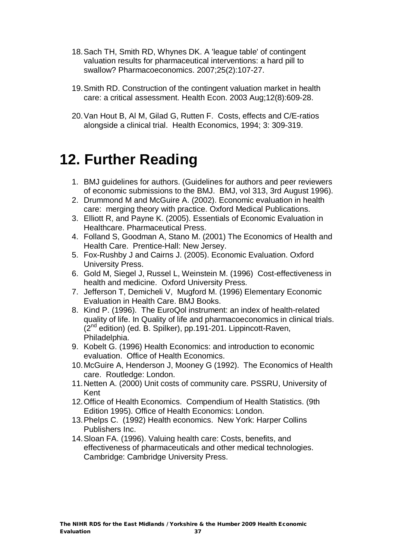- 18.Sach TH, Smith RD, Whynes DK. A 'league table' of contingent valuation results for pharmaceutical interventions: a hard pill to swallow? Pharmacoeconomics. 2007;25(2):107-27.
- 19.Smith RD. Construction of the contingent valuation market in health care: a critical assessment. Health Econ. 2003 Aug;12(8):609-28.
- 20.Van Hout B, Al M, Gilad G, Rutten F. Costs, effects and C/E-ratios alongside a clinical trial. Health Economics, 1994; 3: 309-319.

# **12. Further Reading**

- 1. BMJ guidelines for authors. (Guidelines for authors and peer reviewers of economic submissions to the BMJ. BMJ, vol 313, 3rd August 1996).
- 2. Drummond M and McGuire A. (2002). Economic evaluation in health care: merging theory with practice. Oxford Medical Publications.
- 3. Elliott R, and Payne K. (2005). Essentials of Economic Evaluation in Healthcare. Pharmaceutical Press.
- 4. Folland S, Goodman A, Stano M. (2001) The Economics of Health and Health Care. Prentice-Hall: New Jersey.
- 5. Fox-Rushby J and Cairns J. (2005). Economic Evaluation. Oxford University Press.
- 6. Gold M, Siegel J, Russel L, Weinstein M. (1996) Cost-effectiveness in health and medicine. Oxford University Press.
- 7. Jefferson T, Demicheli V, Mugford M. (1996) Elementary Economic Evaluation in Health Care. BMJ Books.
- 8. Kind P. (1996). The EuroQol instrument: an index of health-related quality of life. In Quality of life and pharmacoeconomics in clinical trials.  $(2^{nd}$  edition) (ed. B. Spilker), pp.191-201. Lippincott-Raven, Philadelphia.
- 9. Kobelt G. (1996) Health Economics: and introduction to economic evaluation. Office of Health Economics.
- 10.McGuire A, Henderson J, Mooney G (1992). The Economics of Health care. Routledge: London.
- 11.Netten A. (2000) Unit costs of community care. PSSRU, University of Kent
- 12.Office of Health Economics. Compendium of Health Statistics. (9th Edition 1995). Office of Health Economics: London.
- 13.Phelps C. (1992) Health economics. New York: Harper Collins Publishers Inc.
- 14.Sloan FA. (1996). Valuing health care: Costs, benefits, and effectiveness of pharmaceuticals and other medical technologies. Cambridge: Cambridge University Press.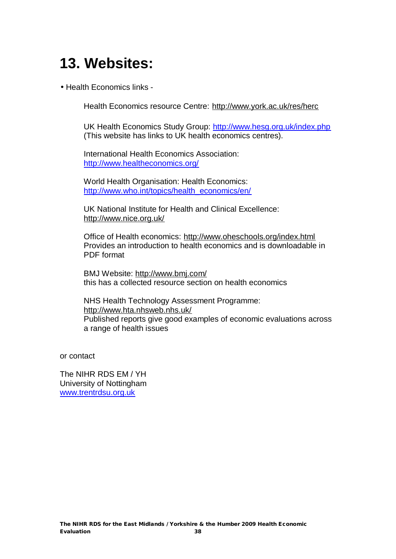# **13. Websites:**

• Health Economics links -

Health Economics resource Centre: <http://www.york.ac.uk/res/herc>

UK Health Economics Study Group: <http://www.hesg.org.uk/index.php> (This website has links to UK health economics centres).

International Health Economics Association: <http://www.healtheconomics.org/>

World Health Organisation: Health Economics: [http://www.who.int/topics/health\\_economics/en/](http://www.who.int/topics/health_economics/en/)

UK National Institute for Health and Clinical Excellence: <http://www.nice.org.uk/>

Office of Health economics: <http://www.oheschools.org/index.html> Provides an introduction to health economics and is downloadable in PDF format

BMJ Website: <http://www.bmj.com/> this has a collected resource section on health economics

NHS Health Technology Assessment Programme: <http://www.hta.nhsweb.nhs.uk/> Published reports give good examples of economic evaluations across a range of health issues

or contact

The NIHR RDS EM / YH University of Nottingham [www.trentrdsu.org.uk](http://www.trentrdsu.org.uk)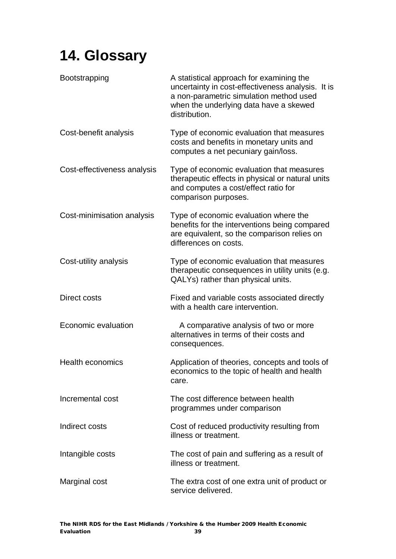# **14. Glossary**

| Bootstrapping               | A statistical approach for examining the<br>uncertainty in cost-effectiveness analysis. It is<br>a non-parametric simulation method used<br>when the underlying data have a skewed<br>distribution. |
|-----------------------------|-----------------------------------------------------------------------------------------------------------------------------------------------------------------------------------------------------|
| Cost-benefit analysis       | Type of economic evaluation that measures<br>costs and benefits in monetary units and<br>computes a net pecuniary gain/loss.                                                                        |
| Cost-effectiveness analysis | Type of economic evaluation that measures<br>therapeutic effects in physical or natural units<br>and computes a cost/effect ratio for<br>comparison purposes.                                       |
| Cost-minimisation analysis  | Type of economic evaluation where the<br>benefits for the interventions being compared<br>are equivalent, so the comparison relies on<br>differences on costs.                                      |
| Cost-utility analysis       | Type of economic evaluation that measures<br>therapeutic consequences in utility units (e.g.<br>QALYs) rather than physical units.                                                                  |
| Direct costs                | Fixed and variable costs associated directly<br>with a health care intervention.                                                                                                                    |
| Economic evaluation         | A comparative analysis of two or more<br>alternatives in terms of their costs and<br>consequences.                                                                                                  |
| <b>Health economics</b>     | Application of theories, concepts and tools of<br>economics to the topic of health and health<br>care.                                                                                              |
| Incremental cost            | The cost difference between health<br>programmes under comparison                                                                                                                                   |
| Indirect costs              | Cost of reduced productivity resulting from<br>illness or treatment.                                                                                                                                |
| Intangible costs            | The cost of pain and suffering as a result of<br>illness or treatment.                                                                                                                              |
| Marginal cost               | The extra cost of one extra unit of product or<br>service delivered.                                                                                                                                |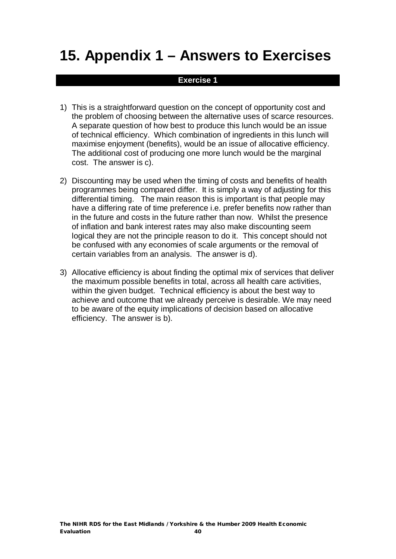# **15. Appendix 1 – Answers to Exercises**

#### **Exercise 1**

- 1) This is a straightforward question on the concept of opportunity cost and the problem of choosing between the alternative uses of scarce resources. A separate question of how best to produce this lunch would be an issue of technical efficiency. Which combination of ingredients in this lunch will maximise enjoyment (benefits), would be an issue of allocative efficiency. The additional cost of producing one more lunch would be the marginal cost. The answer is c).
- 2) Discounting may be used when the timing of costs and benefits of health programmes being compared differ. It is simply a way of adjusting for this differential timing. The main reason this is important is that people may have a differing rate of time preference i.e. prefer benefits now rather than in the future and costs in the future rather than now. Whilst the presence of inflation and bank interest rates may also make discounting seem logical they are not the principle reason to do it. This concept should not be confused with any economies of scale arguments or the removal of certain variables from an analysis. The answer is d).
- 3) Allocative efficiency is about finding the optimal mix of services that deliver the maximum possible benefits in total, across all health care activities, within the given budget. Technical efficiency is about the best way to achieve and outcome that we already perceive is desirable. We may need to be aware of the equity implications of decision based on allocative efficiency. The answer is b).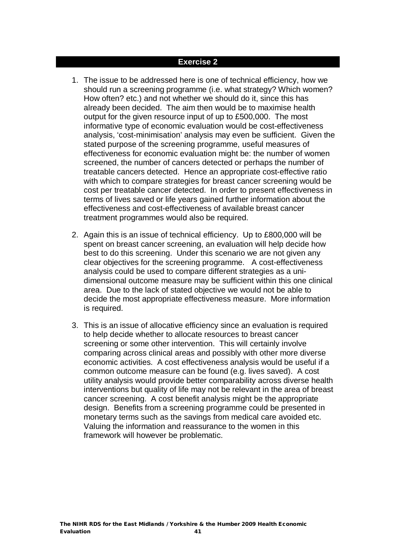#### **Exercise 2**

- 1. The issue to be addressed here is one of technical efficiency, how we should run a screening programme (i.e. what strategy? Which women? How often? etc.) and not whether we should do it, since this has already been decided. The aim then would be to maximise health output for the given resource input of up to £500,000. The most informative type of economic evaluation would be cost-effectiveness analysis, 'cost-minimisation' analysis may even be sufficient. Given the stated purpose of the screening programme, useful measures of effectiveness for economic evaluation might be: the number of women screened, the number of cancers detected or perhaps the number of treatable cancers detected. Hence an appropriate cost-effective ratio with which to compare strategies for breast cancer screening would be cost per treatable cancer detected. In order to present effectiveness in terms of lives saved or life years gained further information about the effectiveness and cost-effectiveness of available breast cancer treatment programmes would also be required.
- 2. Again this is an issue of technical efficiency. Up to £800,000 will be spent on breast cancer screening, an evaluation will help decide how best to do this screening. Under this scenario we are not given any clear objectives for the screening programme. A cost-effectiveness analysis could be used to compare different strategies as a unidimensional outcome measure may be sufficient within this one clinical area. Due to the lack of stated objective we would not be able to decide the most appropriate effectiveness measure. More information is required.
- 3. This is an issue of allocative efficiency since an evaluation is required to help decide whether to allocate resources to breast cancer screening or some other intervention. This will certainly involve comparing across clinical areas and possibly with other more diverse economic activities. A cost effectiveness analysis would be useful if a common outcome measure can be found (e.g. lives saved). A cost utility analysis would provide better comparability across diverse health interventions but quality of life may not be relevant in the area of breast cancer screening. A cost benefit analysis might be the appropriate design. Benefits from a screening programme could be presented in monetary terms such as the savings from medical care avoided etc. Valuing the information and reassurance to the women in this framework will however be problematic.